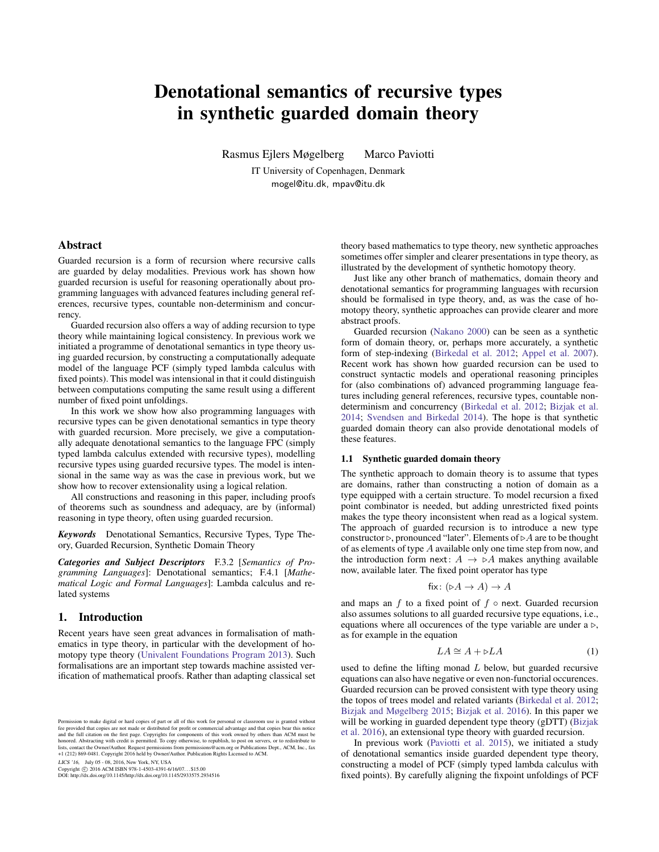# Denotational semantics of recursive types in synthetic guarded domain theory

Rasmus Ejlers Møgelberg Marco Paviotti

IT University of Copenhagen, Denmark mogel@itu.dk, mpav@itu.dk

# Abstract

Guarded recursion is a form of recursion where recursive calls are guarded by delay modalities. Previous work has shown how guarded recursion is useful for reasoning operationally about programming languages with advanced features including general references, recursive types, countable non-determinism and concurrency.

Guarded recursion also offers a way of adding recursion to type theory while maintaining logical consistency. In previous work we initiated a programme of denotational semantics in type theory using guarded recursion, by constructing a computationally adequate model of the language PCF (simply typed lambda calculus with fixed points). This model was intensional in that it could distinguish between computations computing the same result using a different number of fixed point unfoldings.

In this work we show how also programming languages with recursive types can be given denotational semantics in type theory with guarded recursion. More precisely, we give a computationally adequate denotational semantics to the language FPC (simply typed lambda calculus extended with recursive types), modelling recursive types using guarded recursive types. The model is intensional in the same way as was the case in previous work, but we show how to recover extensionality using a logical relation.

All constructions and reasoning in this paper, including proofs of theorems such as soundness and adequacy, are by (informal) reasoning in type theory, often using guarded recursion.

*Keywords* Denotational Semantics, Recursive Types, Type Theory, Guarded Recursion, Synthetic Domain Theory

*Categories and Subject Descriptors* F.3.2 [*Semantics of Programming Languages*]: Denotational semantics; F.4.1 [*Mathematical Logic and Formal Languages*]: Lambda calculus and related systems

# 1. Introduction

Recent years have seen great advances in formalisation of mathematics in type theory, in particular with the development of homotopy type theory [\(Univalent Foundations Program](#page-9-0) [2013\)](#page-9-0). Such formalisations are an important step towards machine assisted verification of mathematical proofs. Rather than adapting classical set

LICS '16, July 05 - 08, 2016, New York, NY, USA<br>Copyright ⓒ 2016 ACM ISBN 978-1-4503-4391-6/16/07...\$15.00<br>DOI: http://dx.doi.org/10.1145/http://dx.doi.org/10.1145/2933575.2934516

theory based mathematics to type theory, new synthetic approaches sometimes offer simpler and clearer presentations in type theory, as illustrated by the development of synthetic homotopy theory.

Just like any other branch of mathematics, domain theory and denotational semantics for programming languages with recursion should be formalised in type theory, and, as was the case of homotopy theory, synthetic approaches can provide clearer and more abstract proofs.

Guarded recursion [\(Nakano](#page-9-1) [2000\)](#page-9-1) can be seen as a synthetic form of domain theory, or, perhaps more accurately, a synthetic form of step-indexing [\(Birkedal et al.](#page-9-2) [2012;](#page-9-2) [Appel et al.](#page-9-3) [2007\)](#page-9-3). Recent work has shown how guarded recursion can be used to construct syntactic models and operational reasoning principles for (also combinations of) advanced programming language features including general references, recursive types, countable nondeterminism and concurrency [\(Birkedal et al.](#page-9-2) [2012;](#page-9-2) [Bizjak et al.](#page-9-4) [2014;](#page-9-4) [Svendsen and Birkedal](#page-9-5) [2014\)](#page-9-5). The hope is that synthetic guarded domain theory can also provide denotational models of these features.

#### <span id="page-0-0"></span>1.1 Synthetic guarded domain theory

The synthetic approach to domain theory is to assume that types are domains, rather than constructing a notion of domain as a type equipped with a certain structure. To model recursion a fixed point combinator is needed, but adding unrestricted fixed points makes the type theory inconsistent when read as a logical system. The approach of guarded recursion is to introduce a new type constructor  $\triangleright$ , pronounced "later". Elements of  $\triangleright$  A are to be thought of as elements of type A available only one time step from now, and the introduction form next:  $A \rightarrow \triangleright A$  makes anything available now, available later. The fixed point operator has type

$$
fix: (\triangleright A \to A) \to A
$$

and maps an f to a fixed point of  $f \circ$  next. Guarded recursion also assumes solutions to all guarded recursive type equations, i.e., equations where all occurences of the type variable are under a  $\triangleright$ , as for example in the equation

<span id="page-0-1"></span>
$$
LA \cong A + \triangleright LA \tag{1}
$$

used to define the lifting monad  $L$  below, but guarded recursive equations can also have negative or even non-functorial occurences. Guarded recursion can be proved consistent with type theory using the topos of trees model and related variants [\(Birkedal et al.](#page-9-2) [2012;](#page-9-2) [Bizjak and Møgelberg](#page-9-6) [2015;](#page-9-6) [Bizjak et al.](#page-9-7) [2016\)](#page-9-7). In this paper we will be working in guarded dependent type theory (gDTT) [\(Bizjak](#page-9-7) [et al.](#page-9-7) [2016\)](#page-9-7), an extensional type theory with guarded recursion.

In previous work [\(Paviotti et al.](#page-9-8) [2015\)](#page-9-8), we initiated a study of denotational semantics inside guarded dependent type theory, constructing a model of PCF (simply typed lambda calculus with fixed points). By carefully aligning the fixpoint unfoldings of PCF

Permission to make digital or hard copies of part or all of this work for personal or classroom use is granted without fee provided that copies are not made or distributed for profit or commercial advantage and that copies bear this notice<br>and the full citation on the first page. Copyrights for components of this work owned by others than +1 (212) 869-0481. Copyright 2016 held by Owner/Author. Publication Rights Licensed to ACM.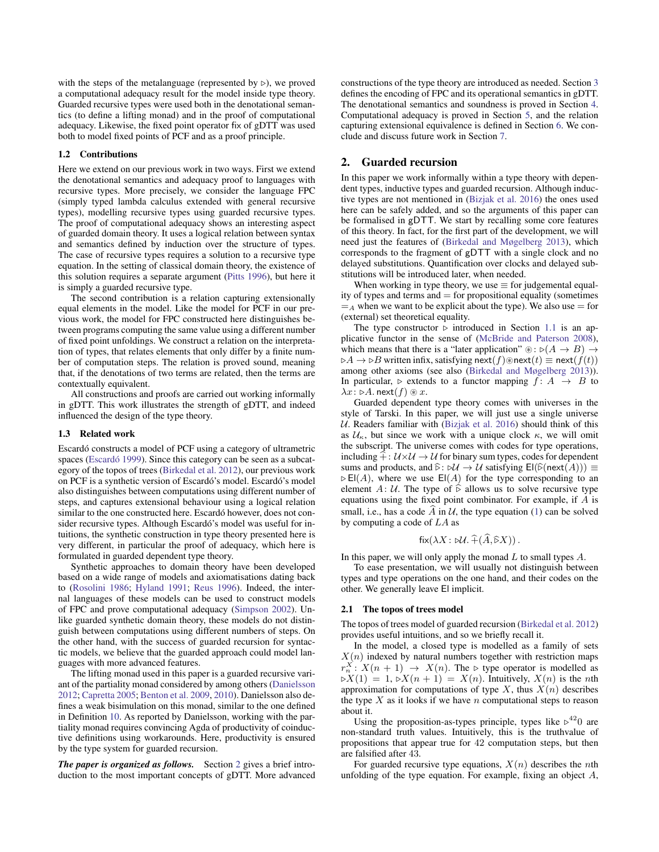with the steps of the metalanguage (represented by  $\triangleright$ ), we proved a computational adequacy result for the model inside type theory. Guarded recursive types were used both in the denotational semantics (to define a lifting monad) and in the proof of computational adequacy. Likewise, the fixed point operator fix of gDTT was used both to model fixed points of PCF and as a proof principle.

## 1.2 Contributions

Here we extend on our previous work in two ways. First we extend the denotational semantics and adequacy proof to languages with recursive types. More precisely, we consider the language FPC (simply typed lambda calculus extended with general recursive types), modelling recursive types using guarded recursive types. The proof of computational adequacy shows an interesting aspect of guarded domain theory. It uses a logical relation between syntax and semantics defined by induction over the structure of types. The case of recursive types requires a solution to a recursive type equation. In the setting of classical domain theory, the existence of this solution requires a separate argument [\(Pitts](#page-9-9) [1996\)](#page-9-9), but here it is simply a guarded recursive type.

The second contribution is a relation capturing extensionally equal elements in the model. Like the model for PCF in our previous work, the model for FPC constructed here distinguishes between programs computing the same value using a different number of fixed point unfoldings. We construct a relation on the interpretation of types, that relates elements that only differ by a finite number of computation steps. The relation is proved sound, meaning that, if the denotations of two terms are related, then the terms are contextually equivalent.

All constructions and proofs are carried out working informally in gDTT. This work illustrates the strength of gDTT, and indeed influenced the design of the type theory.

#### 1.3 Related work

Escardó constructs a model of PCF using a category of ultrametric spaces (Escardó [1999\)](#page-9-10). Since this category can be seen as a subcategory of the topos of trees [\(Birkedal et al.](#page-9-2) [2012\)](#page-9-2), our previous work on PCF is a synthetic version of Escardó's model. Escardó's model also distinguishes between computations using different number of steps, and captures extensional behaviour using a logical relation similar to the one constructed here. Escardó however, does not consider recursive types. Although Escardó's model was useful for intuitions, the synthetic construction in type theory presented here is very different, in particular the proof of adequacy, which here is formulated in guarded dependent type theory.

Synthetic approaches to domain theory have been developed based on a wide range of models and axiomatisations dating back to [\(Rosolini](#page-9-11) [1986;](#page-9-11) [Hyland](#page-9-12) [1991;](#page-9-12) [Reus](#page-9-13) [1996\)](#page-9-13). Indeed, the internal languages of these models can be used to construct models of FPC and prove computational adequacy [\(Simpson](#page-9-14) [2002\)](#page-9-14). Unlike guarded synthetic domain theory, these models do not distinguish between computations using different numbers of steps. On the other hand, with the success of guarded recursion for syntactic models, we believe that the guarded approach could model languages with more advanced features.

The lifting monad used in this paper is a guarded recursive variant of the partiality monad considered by among others [\(Danielsson](#page-9-15) [2012;](#page-9-15) [Capretta](#page-9-16) [2005;](#page-9-16) [Benton et al.](#page-9-17) [2009,](#page-9-17) [2010\)](#page-9-18). Danielsson also defines a weak bisimulation on this monad, similar to the one defined in Definition [10.](#page-8-0) As reported by Danielsson, working with the partiality monad requires convincing Agda of productivity of coinductive definitions using workarounds. Here, productivity is ensured by the type system for guarded recursion.

*The paper is organized as follows.* Section [2](#page-1-0) gives a brief introduction to the most important concepts of gDTT. More advanced constructions of the type theory are introduced as needed. Section [3](#page-2-0) defines the encoding of FPC and its operational semantics in gDTT. The denotational semantics and soundness is proved in Section [4.](#page-3-0) Computational adequacy is proved in Section [5,](#page-5-0) and the relation capturing extensional equivalence is defined in Section [6.](#page-7-0) We conclude and discuss future work in Section [7.](#page-9-19)

# <span id="page-1-0"></span>2. Guarded recursion

In this paper we work informally within a type theory with dependent types, inductive types and guarded recursion. Although inductive types are not mentioned in [\(Bizjak et al.](#page-9-7) [2016\)](#page-9-7) the ones used here can be safely added, and so the arguments of this paper can be formalised in gDTT. We start by recalling some core features of this theory. In fact, for the first part of the development, we will need just the features of [\(Birkedal and Møgelberg](#page-9-20) [2013\)](#page-9-20), which corresponds to the fragment of gDTT with a single clock and no delayed substitutions. Quantification over clocks and delayed substitutions will be introduced later, when needed.

When working in type theory, we use  $\equiv$  for judgemental equality of types and terms and  $=$  for propositional equality (sometimes  $=$ A when we want to be explicit about the type). We also use  $=$  for (external) set theoretical equality.

The type constructor  $\triangleright$  introduced in Section [1.1](#page-0-0) is an applicative functor in the sense of [\(McBride and Paterson](#page-9-21) [2008\)](#page-9-21), which means that there is a "later application"  $\mathcal{B}: \mathcal{A} \to B$   $\to$  $\triangleright A \to \triangleright B$  written infix, satisfying next $(f)$  $\triangleleft$ next $(t) \equiv$ next $(f(t))$ among other axioms (see also [\(Birkedal and Møgelberg](#page-9-20) [2013\)](#page-9-20)). In particular,  $\triangleright$  extends to a functor mapping  $f: A \rightarrow B$  to  $\lambda x: \triangleright A.$  next(f)  $\circledast x$ .

Guarded dependent type theory comes with universes in the style of Tarski. In this paper, we will just use a single universe  $U$ . Readers familiar with [\(Bizjak et al.](#page-9-7) [2016\)](#page-9-7) should think of this as  $\mathcal{U}_{\kappa}$ , but since we work with a unique clock  $\kappa$ , we will omit the subscript. The universe comes with codes for type operations, including  $\hat{+}: \mathcal{U} \times \mathcal{U} \rightarrow \mathcal{U}$  for binary sum types, codes for dependent sums and products, and  $\hat{\Sigma}$ :  $\forall U \rightarrow U$  satisfying  $\text{El}(\hat{\Sigma}(\text{next}(A))) \equiv$  $\triangleright$  El(A), where we use El(A) for the type corresponding to an element A: U. The type of  $\hat{\triangleright}$  allows us to solve recursive type equations using the fixed point combinator. For example, if A is small, i.e., has a code  $\overline{A}$  in  $\mathcal{U}$ , the type equation [\(1\)](#page-0-1) can be solved by computing a code of LA as

$$
fix(\lambda X:\triangleright\mathcal{U}.\ \widehat{+}(\widehat{A},\widehat{\triangleright}X)).
$$

In this paper, we will only apply the monad  $L$  to small types  $A$ .

To ease presentation, we will usually not distinguish between types and type operations on the one hand, and their codes on the other. We generally leave El implicit.

### <span id="page-1-1"></span>2.1 The topos of trees model

The topos of trees model of guarded recursion [\(Birkedal et al.](#page-9-2) [2012\)](#page-9-2) provides useful intuitions, and so we briefly recall it.

In the model, a closed type is modelled as a family of sets  $X(n)$  indexed by natural numbers together with restriction maps  $r_n^X: X(n + 1) \rightarrow X(n)$ . The  $\triangleright$  type operator is modelled as  $\triangleright X(1) = 1, \triangleright X(n + 1) = X(n)$ . Intuitively,  $X(n)$  is the nth approximation for computations of type  $X$ , thus  $X(n)$  describes the type  $X$  as it looks if we have  $n$  computational steps to reason about it.

Using the proposition-as-types principle, types like  $\triangleright^{42}0$  are non-standard truth values. Intuitively, this is the truthvalue of propositions that appear true for 42 computation steps, but then are falsified after 43.

For guarded recursive type equations,  $X(n)$  describes the *n*th unfolding of the type equation. For example, fixing an object  $A$ ,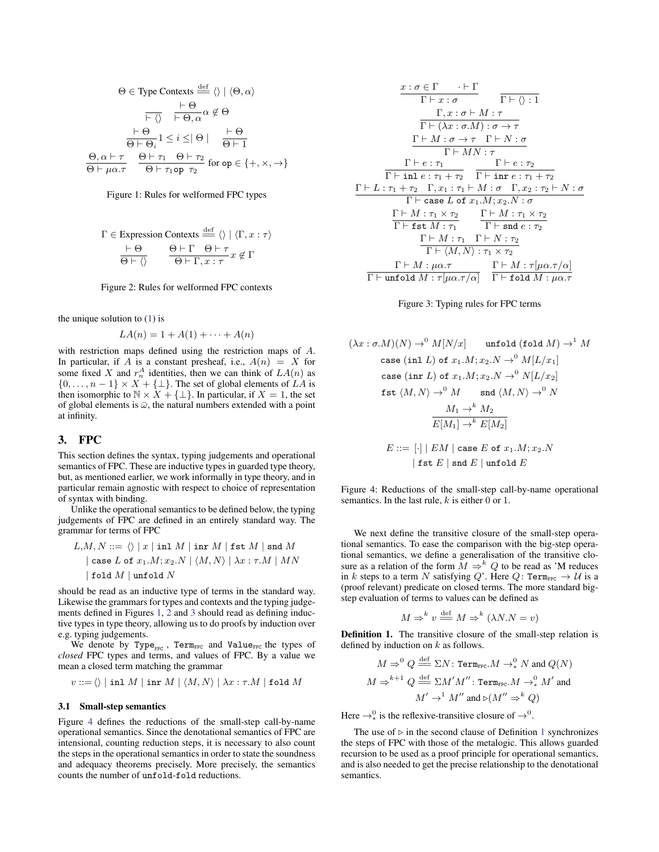<span id="page-2-1"></span>
$$
\Theta \in \text{Type Contexts} \xrightarrow{\det} \langle \rangle \mid \langle \Theta, \alpha \rangle
$$

$$
\frac{\vdash \Theta}{\vdash \langle \rangle} \xrightarrow{\vdash \Theta, \alpha} \alpha \notin \Theta
$$

$$
\frac{\vdash \Theta}{\Theta \vdash \Theta_i} 1 \leq i \leq |\Theta| \xrightarrow{\vdash \Theta} \frac{\vdash \Theta}{\Theta \vdash 1}
$$

$$
\frac{\Theta, \alpha \vdash \tau}{\Theta \vdash \mu\alpha. \tau} \xrightarrow{\Theta \vdash \tau_1 \Theta \vdash \tau_2} \text{for } \text{op} \in \{+, \times, \to\}
$$



<span id="page-2-2"></span>
$$
\Gamma \in \text{Expression contexts} \xrightarrow{\text{def}} \langle \rangle \mid \langle \Gamma, x : \tau \rangle
$$
\n
$$
\xrightarrow{\text{F} \Theta} \qquad \xrightarrow{\text{G} \text{F} \Gamma} \qquad \text{G} \vdash \Gamma \quad \text{H} \vdash \tau
$$
\n
$$
\overline{\text{G} \vdash \langle \rangle} \qquad \xrightarrow{\text{G} \text{F} \Gamma} \text{G} \vdash \tau, x : \tau \mathcal{I} \not\in \Gamma
$$

Figure 2: Rules for welformed FPC contexts

the unique solution to  $(1)$  is

$$
LA(n) = 1 + A(1) + \cdots + A(n)
$$

with restriction maps defined using the restriction maps of A. In particular, if A is a constant presheaf, i.e.,  $A(n) = X$  for some fixed X and  $r_n^A$  identities, then we can think of  $LA(n)$  as  $\{0, \ldots, n-1\} \times X + \{\perp\}$ . The set of global elements of  $\overrightarrow{LA}$  is then isomorphic to  $N \times X + {\perp}$ . In particular, if  $X = 1$ , the set of global elements is  $\bar{\omega}$ , the natural numbers extended with a point at infinity.

# <span id="page-2-0"></span>3. FPC

This section defines the syntax, typing judgements and operational semantics of FPC. These are inductive types in guarded type theory, but, as mentioned earlier, we work informally in type theory, and in particular remain agnostic with respect to choice of representation of syntax with binding.

Unlike the operational semantics to be defined below, the typing judgements of FPC are defined in an entirely standard way. The grammar for terms of FPC

$$
\begin{aligned} L,M,N &::=\langle\rangle \mid x\mid \texttt{in1}\ M\mid \texttt{inr}\ M\mid \texttt{fst}\ M\mid \texttt{snd}\ M \\ &\mid \texttt{case}\ L\ \texttt{of}\ x_1.M; x_2.N\mid \langle M,N\rangle \mid \lambda x:\tau.M\mid MN \\ &\mid \texttt{fold}\ M\mid \texttt{unfold}\ N \end{aligned}
$$

should be read as an inductive type of terms in the standard way. Likewise the grammars for types and contexts and the typing judgements defined in Figures [1,](#page-2-1) [2](#page-2-2) and [3](#page-2-3) should read as defining inductive types in type theory, allowing us to do proofs by induction over e.g. typing judgements.

We denote by Type<sub>FPC</sub>, Term<sub>FPC</sub> and Value<sub>FPC</sub> the types of *closed* FPC types and terms, and values of FPC. By a value we mean a closed term matching the grammar

$$
v ::= \langle \rangle \mid \text{inl } M \mid \text{inr } M \mid \langle M, N \rangle \mid \lambda x : \tau.M \mid \text{fold } M
$$

#### 3.1 Small-step semantics

Figure [4](#page-2-4) defines the reductions of the small-step call-by-name operational semantics. Since the denotational semantics of FPC are intensional, counting reduction steps, it is necessary to also count the steps in the operational semantics in order to state the soundness and adequacy theorems precisely. More precisely, the semantics counts the number of unfold-fold reductions.

<span id="page-2-3"></span>
$$
\frac{x:\sigma \in \Gamma \qquad \vdots \qquad \Gamma}{\Gamma \vdash x:\sigma} \qquad \frac{\Gamma \vdash \langle \rangle : 1}{\Gamma \vdash \langle \lambda x:\sigma.M \rangle : \sigma \to \tau}
$$
\n
$$
\frac{\Gamma \vdash M:\sigma \to \tau \quad \Gamma \vdash N:\sigma}{\Gamma \vdash MN:\tau}
$$
\n
$$
\frac{\Gamma \vdash e:\tau_1 \qquad \Gamma \vdash e:\tau_2}{\Gamma \vdash \text{inl} \ e:\tau_1 + \tau_2 \qquad \Gamma \vdash \text{inr} \ e:\tau_1 + \tau_2}
$$
\n
$$
\frac{\Gamma \vdash L:\tau_1 + \tau_2 \quad \Gamma, x_1 : \tau_1 \vdash M:\sigma \quad \Gamma, x_2 : \tau_2 \vdash N:\sigma}{\Gamma \vdash \text{case } L \text{ of } x_1.M; x_2.N : \sigma}
$$
\n
$$
\frac{\Gamma \vdash M:\tau_1 \times \tau_2}{\Gamma \vdash \text{fst } M:\tau_1 \qquad \frac{\Gamma \vdash M:\tau_1 \times \tau_2}{\Gamma \vdash \text{send } e:\tau_2}
$$
\n
$$
\frac{\Gamma \vdash M:\tau_1 \quad \Gamma \vdash N:\tau_2}{\Gamma \vdash \langle M, N \rangle : \tau_1 \times \tau_2}
$$
\n
$$
\frac{\Gamma \vdash M:\mu\alpha.\tau}{\Gamma \vdash \text{unfold } M:\tau[\mu\alpha.\tau/\alpha]} \qquad \frac{\Gamma \vdash M:\tau[\mu\alpha.\tau/\alpha]}{\Gamma \vdash \text{fold } M:\mu\alpha.\tau}
$$



<span id="page-2-4"></span>
$$
(\lambda x : \sigma.M)(N) \to^0 M[N/x] \quad \text{unfold (fold } M) \to^1 M
$$
\n
$$
\text{case (inl } L \text{) of } x_1.M; x_2.N \to^0 M[L/x_1]
$$
\n
$$
\text{case (inr } L \text{) of } x_1.M; x_2.N \to^0 N[L/x_2]
$$
\n
$$
\text{fst } \langle M, N \rangle \to^0 M \quad \text{snd } \langle M, N \rangle \to^0 N
$$
\n
$$
\frac{M_1 \to^k M_2}{E[M_1] \to^k E[M_2]}
$$
\n
$$
E ::= [\cdot] \mid EM \mid \text{case } E \text{ of } x_1.M; x_2.N
$$
\n
$$
|\text{fst } E \mid \text{snd } E \mid \text{unfold } E
$$

Figure 4: Reductions of the small-step call-by-name operational semantics. In the last rule,  $k$  is either 0 or 1.

We next define the transitive closure of the small-step operational semantics. To ease the comparison with the big-step operational semantics, we define a generalisation of the transitive closure as a relation of the form  $M \Rightarrow^k Q$  to be read as 'M reduces in k steps to a term N satisfying Q'. Here  $Q: \texttt{Term}_{\texttt{FPC}} \rightarrow \mathcal{U}$  is a (proof relevant) predicate on closed terms. The more standard bigstep evaluation of terms to values can be defined as

$$
M \Rightarrow^k v \stackrel{\text{def}}{=} M \Rightarrow^k (\lambda N.N = v)
$$

<span id="page-2-5"></span>Definition 1. The transitive closure of the small-step relation is defined by induction on  $k$  as follows.

$$
M \Rightarrow^0 Q \stackrel{\text{def}}{=} \Sigma N : \text{Term}_{\text{FPC}}. M \to^0_* N \text{ and } Q(N)
$$
  

$$
M \Rightarrow^{k+1} Q \stackrel{\text{def}}{=} \Sigma M'M'': \text{Term}_{\text{FPC}}. M \to^0_* M' \text{ and }
$$
  

$$
M' \to^1 M'' \text{ and } \triangleright (M'' \Rightarrow^k Q)
$$

Here  $\rightarrow_*^0$  is the reflexive-transitive closure of  $\rightarrow^0$ .

The use of  $\triangleright$  in the second clause of Definition [1](#page-2-5) synchronizes the steps of FPC with those of the metalogic. This allows guarded recursion to be used as a proof principle for operational semantics, and is also needed to get the precise relationship to the denotational semantics.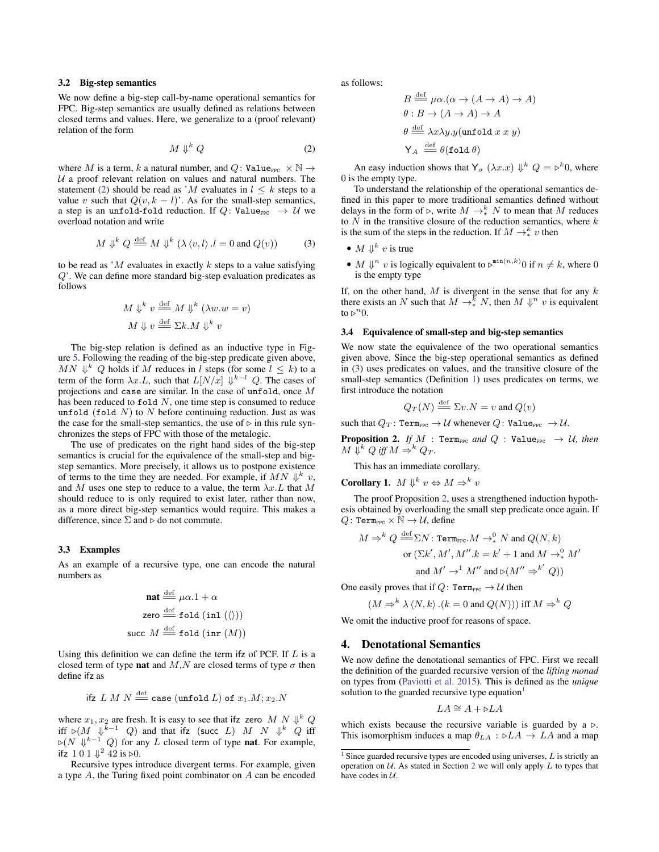### 3.2 Big-step semantics

We now define a big-step call-by-name operational semantics for FPC. Big-step semantics are usually defined as relations between closed terms and values. Here, we generalize to a (proof relevant) relation of the form

<span id="page-3-1"></span>
$$
M \Downarrow^k Q \tag{2}
$$

where M is a term, k a natural number, and Q: Value<sub>FPC</sub>  $\times \mathbb{N} \rightarrow$  $U$  a proof relevant relation on values and natural numbers. The statement [\(2\)](#page-3-1) should be read as 'M evaluates in  $l \leq k$  steps to a value v such that  $Q(v, k - l)$ . As for the small-step semantics, a step is an unfold-fold reduction. If  $Q:$  Value<sub>FPC</sub>  $\rightarrow$  U we overload notation and write

<span id="page-3-2"></span>
$$
M \Downarrow^k Q \stackrel{\text{def}}{=} M \Downarrow^k (\lambda \langle v, l \rangle \cdot l = 0 \text{ and } Q(v)) \tag{3}
$$

to be read as 'M evaluates in exactly  $k$  steps to a value satisfying Q'. We can define more standard big-step evaluation predicates as follows

$$
M \Downarrow^{k} v \stackrel{\text{def}}{=} M \Downarrow^{k} (\lambda w.w = v)
$$

$$
M \Downarrow v \stackrel{\text{def}}{=} \Sigma k.M \Downarrow^{k} v
$$

The big-step relation is defined as an inductive type in Figure [5.](#page-4-0) Following the reading of the big-step predicate given above,  $MN \Downarrow^k Q$  holds if M reduces in l steps (for some  $l \leq k$ ) to a term of the form  $\lambda x.L$ , such that  $L[N/x]$   $\Downarrow^{k-l} Q$ . The cases of projections and case are similar. In the case of unfold, once M has been reduced to  $f \circ \text{Id} N$ , one time step is consumed to reduce unfold (fold  $N$ ) to  $N$  before continuing reduction. Just as was the case for the small-step semantics, the use of  $\triangleright$  in this rule synchronizes the steps of FPC with those of the metalogic.

The use of predicates on the right hand sides of the big-step semantics is crucial for the equivalence of the small-step and bigstep semantics. More precisely, it allows us to postpone existence of terms to the time they are needed. For example, if  $MN \Downarrow^k v$ , and M uses one step to reduce to a value, the term  $\lambda x.L$  that M should reduce to is only required to exist later, rather than now, as a more direct big-step semantics would require. This makes a difference, since  $\Sigma$  and  $\triangleright$  do not commute.

#### 3.3 Examples

As an example of a recursive type, one can encode the natural numbers as

$$
\begin{aligned}\n\text{nat} \stackrel{\text{def}}{=} \mu \alpha. 1 + \alpha \\
\text{zero} \stackrel{\text{def}}{=} \text{fold (in1 (\\ \langle \rangle))} \\
\text{succ } M \stackrel{\text{def}}{=} \text{fold (inr (M))}\n\end{aligned}
$$

Using this definition we can define the term if  $z$  of PCF. If  $L$  is a closed term of type **nat** and M,N are closed terms of type  $\sigma$  then define ifz as

$$
\text{ifz } L\text{ }M\text{ }N\stackrel{\mathrm{def}}{=\!\!=} \text{case }(\text{unfold }L)\text{ of }x_1.M;x_2.N
$$

where  $x_1, x_2$  are fresh. It is easy to see that ifz zero M N  $\Downarrow^k Q$ iff  $\triangleright (M \Downarrow^{k-1} Q)$  and that ifz (succ L) M N  $\Downarrow^k Q$  iff  $\triangleright (N \Downarrow^{k-1} Q)$  for any L closed term of type **nat**. For example, ifz  $1 \ 0 \ 1 \ \sqrt{2} \ 42 \text{ is } \ge 0$ .

Recursive types introduce divergent terms. For example, given a type A, the Turing fixed point combinator on A can be encoded as follows:

$$
B \stackrel{\text{def}}{=} \mu \alpha. (\alpha \to (A \to A) \to A)
$$
  

$$
\theta : B \to (A \to A) \to A
$$
  

$$
\theta \stackrel{\text{def}}{=} \lambda x \lambda y. y (\text{unfold } x \ x \ y)
$$
  

$$
\mathsf{Y}_A \stackrel{\text{def}}{=} \theta (\text{fold } \theta)
$$

An easy induction shows that  $Y_{\sigma} (\lambda x.x) \Downarrow^k Q = \triangleright^k 0$ , where 0 is the empty type.

To understand the relationship of the operational semantics defined in this paper to more traditional semantics defined without delays in the form of  $\triangleright$ , write  $M \to_{*}^{k} N$  to mean that M reduces to  $N$  in the transitive closure of the reduction semantics, where  $k$ is the sum of the steps in the reduction. If  $M \rightarrow_{*}^{k} v$  then

- $M \Downarrow^k v$  is true
- *M*  $\Downarrow^n v$  is logically equivalent to  $\triangleright^{\min(n,k)} 0$  if  $n \neq k$ , where 0 is the empty type

If, on the other hand,  $M$  is divergent in the sense that for any  $k$ there exists an N such that  $M \to_{*}^{\bar{k}} N$ , then  $M \Downarrow_{*}^n v$  is equivalent to  $\triangleright^n$ 0.

#### 3.4 Equivalence of small-step and big-step semantics

We now state the equivalence of the two operational semantics given above. Since the big-step operational semantics as defined in [\(3\)](#page-3-2) uses predicates on values, and the transitive closure of the small-step semantics (Definition [1\)](#page-2-5) uses predicates on terms, we first introduce the notation

$$
Q_T(N) \stackrel{\text{def}}{=} \Sigma v \cdot N = v
$$
 and  $Q(v)$ 

such that  $Q_T$ : Term<sub>FPC</sub>  $\rightarrow \mathcal{U}$  whenever  $Q$ : Value<sub>FPC</sub>  $\rightarrow \mathcal{U}$ .

<span id="page-3-3"></span>**Proposition 2.** If  $M$  : Term<sub>FPC</sub> and  $Q$  : Value<sub>FPC</sub>  $\rightarrow U$ , then  $M \Downarrow^k Q$  *iff*  $M \Rightarrow^k Q_T$ *.* 

This has an immediate corollary.

Corollary 1. 
$$
M \Downarrow^k v \Leftrightarrow M \Rightarrow^k v
$$

The proof Proposition [2,](#page-3-3) uses a strengthened induction hypothesis obtained by overloading the small step predicate once again. If Q: Term<sub>FPC</sub>  $\times N \rightarrow U$ , define

$$
\begin{aligned} M \Rightarrow^k Q \stackrel{\text{def}}{=\!\!=} \Sigma N \colon \texttt{Term}_{\texttt{FPC}}.M \to^0_* N \text{ and } Q(N,k) \\ \text{or } (\Sigma k', M', M''.k = k' + 1 \text{ and } M \to^0_* M' \\ \text{and } M' \to^1 M'' \text{ and } \triangleright (M'' \Rightarrow^{k'} Q)) \end{aligned}
$$

One easily proves that if Q: Term<sub>FPC</sub>  $\rightarrow$  U then

$$
(M \Rightarrow^k \lambda \langle N, k \rangle . (k = 0 \text{ and } Q(N)))
$$
 iff  $M \Rightarrow^k Q$ 

We omit the inductive proof for reasons of space.

#### <span id="page-3-0"></span>4. Denotational Semantics

We now define the denotational semantics of FPC. First we recall the definition of the guarded recursive version of the *lifting monad* on types from [\(Paviotti et al.](#page-9-8) [2015\)](#page-9-8). This is defined as the *unique* solution to the guarded recursive type equation<sup>[1](#page-3-4)</sup>

$$
LA \cong A + \triangleright LA
$$

which exists because the recursive variable is guarded by a  $\triangleright$ . This isomorphism induces a map  $\theta_{LA}$ :  $\triangleright LA \rightarrow LA$  and a map

<span id="page-3-4"></span><sup>&</sup>lt;sup>1</sup> Since guarded recursive types are encoded using universes,  $L$  is strictly an operation on  $U$ . As stated in Section [2](#page-1-0) we will only apply  $L$  to types that have codes in  $U$ .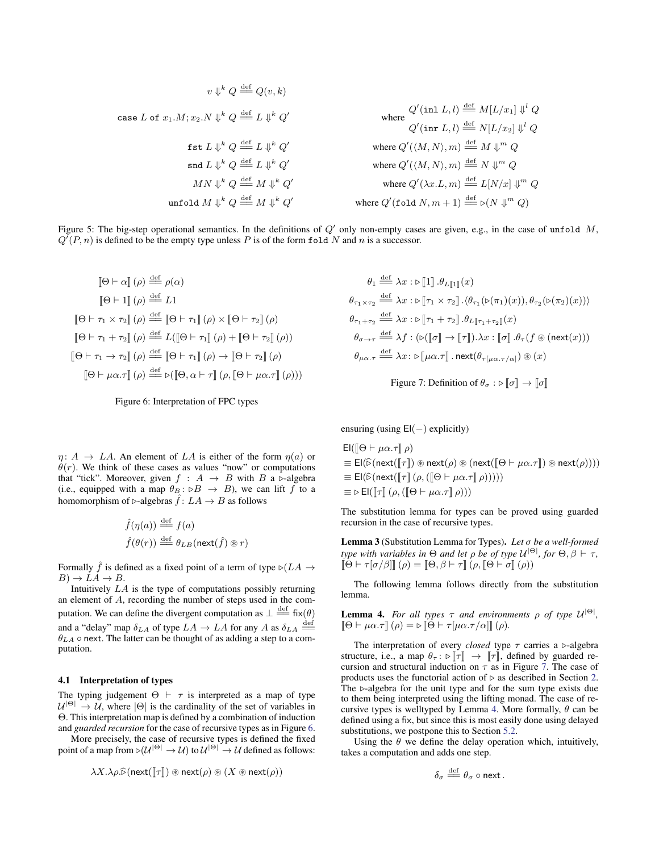<span id="page-4-0"></span>
$$
v \Downarrow^{k} Q \stackrel{\text{def}}{=} Q(v,k)
$$
\n
$$
\text{case } L \text{ of } x_1.M; x_2.N \Downarrow^{k} Q \stackrel{\text{def}}{=} L \Downarrow^{k} Q'
$$
\n
$$
\text{fst } L \Downarrow^{k} Q \stackrel{\text{def}}{=} L \Downarrow^{k} Q'
$$
\n
$$
\text{fst } L \Downarrow^{k} Q \stackrel{\text{def}}{=} L \Downarrow^{k} Q'
$$
\n
$$
\text{end } L \Downarrow^{k} Q \stackrel{\text{def}}{=} L \Downarrow^{k} Q'
$$
\n
$$
\text{end } L \Downarrow^{k} Q \stackrel{\text{def}}{=} L \Downarrow^{k} Q'
$$
\n
$$
\text{where } Q'(\langle M, N \rangle, m) \stackrel{\text{def}}{=} M \Downarrow^{m} Q
$$
\n
$$
\text{where } Q'(\langle M, N \rangle, m) \stackrel{\text{def}}{=} N \Downarrow^{m} Q
$$
\n
$$
\text{where } Q'(\langle M, N \rangle, m) \stackrel{\text{def}}{=} N \Downarrow^{m} Q
$$
\n
$$
\text{where } Q'(\langle M, N \rangle, m) \stackrel{\text{def}}{=} N \Downarrow^{m} Q
$$
\n
$$
\text{where } Q'(\langle M, N \rangle, m) \stackrel{\text{def}}{=} L[N/x] \Downarrow^{m} Q
$$
\n
$$
\text{where } Q'(\langle M, N \rangle, m) \stackrel{\text{def}}{=} L[N/x] \Downarrow^{m} Q
$$
\n
$$
\text{where } Q'(\langle M, N \rangle, m) \stackrel{\text{def}}{=} L[N/x] \Downarrow^{m} Q
$$

Figure 5: The big-step operational semantics. In the definitions of  $Q'$  only non-empty cases are given, e.g., in the case of unfold M,  $Q^{T}(P, n)$  is defined to be the empty type unless P is of the form fold N and n is a successor.

<span id="page-4-1"></span>
$$
\begin{aligned}\n\left[\Theta \vdash \alpha\right] (\rho) & \frac{\det}{\det} \rho(\alpha) \\
\left[\Theta \vdash 1\right] (\rho) & \frac{\det}{\det} L1 \\
\left[\Theta \vdash \tau_1 \times \tau_2\right] (\rho) & \frac{\det}{\det} \left[\Theta \vdash \tau_1\right] (\rho) \times \left[\Theta \vdash \tau_2\right] (\rho) \\
\left[\Theta \vdash \tau_1 + \tau_2\right] (\rho) & \frac{\det}{\det} L\left(\left[\Theta \vdash \tau_1\right] (\rho) + \left[\Theta \vdash \tau_2\right] (\rho)\right) \\
\left[\Theta \vdash \tau_1 \rightarrow \tau_2\right] (\rho) & \frac{\det}{\det} \left[\Theta \vdash \tau_1\right] (\rho) \rightarrow \left[\Theta \vdash \tau_2\right] (\rho) \\
\left[\Theta \vdash \mu \alpha. \tau\right] (\rho) & \frac{\det}{\det} \triangleright (\left[\Theta, \alpha \vdash \tau\right] (\rho, \left[\Theta \vdash \mu \alpha. \tau\right] (\rho)))\n\end{aligned}
$$

<span id="page-4-2"></span>
$$
\theta_1 \stackrel{\text{def}}{=} \lambda x : \triangleright [1] \, . \theta_{L[1]}(x)
$$
\n
$$
\theta_{\tau_1 \times \tau_2} \stackrel{\text{def}}{=} \lambda x : \triangleright [\![\tau_1 \times \tau_2]\!] \cdot \langle \theta_{\tau_1}(\triangleright(\pi_1)(x)), \theta_{\tau_2}(\triangleright(\pi_2)(x)) \rangle
$$
\n
$$
\theta_{\tau_1 + \tau_2} \stackrel{\text{def}}{=} \lambda x : \triangleright [\![\tau_1 + \tau_2]\!] \cdot \theta_{L[\![\tau_1 + \tau_2]\!]}(x)
$$
\n
$$
\theta_{\sigma \to \tau} \stackrel{\text{def}}{=} \lambda f : (\triangleright([\![\sigma]\!] \to [\![\tau]\!]).\lambda x : [\![\sigma]\!] \cdot \theta_{\tau}(f \circledast (\text{next}(x)))
$$
\n
$$
\theta_{\mu \alpha, \tau} \stackrel{\text{def}}{=} \lambda x : \triangleright [\![\mu \alpha, \tau]\!] \cdot \text{next}(\theta_{\tau[\mu \alpha, \tau/\alpha]}) \circledast (x)
$$

Figure 7: Definition of  $\theta_{\sigma} : \triangleright \llbracket \sigma \rrbracket \rightarrow \llbracket \sigma \rrbracket$ 

ensuring (using  $El(-)$  explicitly)

$$
\begin{aligned} &\mathsf{EI}([\![\Theta \vdash \mu\alpha.\tau]\!] \, \rho) \\ &\equiv \mathsf{EI}(\widehat{\triangleright}(\mathsf{next}([\![\tau]\!]) \circledast \mathsf{next}(\rho) \circledast (\mathsf{next}([\![\Theta \vdash \mu\alpha.\tau]\!]) \circledast \mathsf{next}(\rho)))) \\ &\equiv \mathsf{EI}(\widehat{\triangleright}(\mathsf{next}([\![\tau]\!](\rho,([\![\Theta \vdash \mu\alpha.\tau]\!]\, \rho)))) \\ &\equiv \triangleright \mathsf{EI}([\![\tau]\!](\rho,([\![\Theta \vdash \mu\alpha.\tau]\!]\, \rho))) \end{aligned}
$$

The substitution lemma for types can be proved using guarded recursion in the case of recursive types.

Lemma 3 (Substitution Lemma for Types). *Let* σ *be a well-formed type with variables in*  $\Theta$  *and let*  $\rho$  *be of type*  $\mathcal{U}^{|\Theta|}$ *, for*  $\Theta$ *,*  $\beta \vdash \tau$ *,*  $\left[\Theta \vdash \tau [\sigma/\beta]\right](\rho) = \left[\Theta, \beta \vdash \tau\right](\rho, \left[\Theta \vdash \sigma\right](\rho)\right)$ 

The following lemma follows directly from the substitution lemma.

<span id="page-4-3"></span>**Lemma 4.** For all types  $\tau$  and environments  $\rho$  of type  $\mathcal{U}^{|\Theta|}$ ,  $\left[\Theta \vdash \mu \alpha.\tau\right](\rho) = \triangleright \left[\Theta \vdash \tau[\mu \alpha.\tau/\alpha]\right](\rho).$ 

The interpretation of every *closed* type  $\tau$  carries a  $\rhd$ -algebra structure, i.e., a map  $\theta_{\tau} : \Phi[\tau] \to [\tau]$ , defined by guarded recursion and structural induction on  $\tau$  as in Figure [7.](#page-4-2) The case of products uses the functorial action of  $\rhd$  as described in Section [2.](#page-1-0) The  $\triangleright$ -algebra for the unit type and for the sum type exists due to them being interpreted using the lifting monad. The case of re-cursive types is welltyped by Lemma [4.](#page-4-3) More formally,  $\theta$  can be defined using a fix, but since this is most easily done using delayed substitutions, we postpone this to Section [5.2.](#page-6-0)

Using the  $\theta$  we define the delay operation which, intuitively, takes a computation and adds one step.

$$
\delta_{\sigma} \stackrel{\text{def}}{=\!\!=} \theta_{\sigma} \circ \text{next}.
$$

Figure 6: Interpretation of FPC types

 $\eta: A \to LA$ . An element of LA is either of the form  $\eta(a)$  or  $\theta(r)$ . We think of these cases as values "now" or computations that "tick". Moreover, given  $f : A \rightarrow B$  with B a  $\triangleright$ -algebra (i.e., equipped with a map  $\theta_B : \triangleright B \rightarrow B$ ), we can lift f to a homomorphism of  $\triangleright$ -algebras  $\hat{f} : LA \to B$  as follows

$$
\hat{f}(\eta(a)) \stackrel{\text{def}}{=} f(a)
$$

$$
\hat{f}(\theta(r)) \stackrel{\text{def}}{=} \theta_{LB}(\text{next}(\hat{f}) \circledast r)
$$

Formally  $\hat{f}$  is defined as a fixed point of a term of type  $\triangleright (LA \rightarrow$  $B) \rightarrow LA \rightarrow B.$ 

Intuitively  $LA$  is the type of computations possibly returning an element of A, recording the number of steps used in the computation. We can define the divergent computation as  $\perp \stackrel{\text{def}}{=\!\!=}$  fix $(\theta)$ and a "delay" map  $\delta_{LA}$  of type  $LA \rightarrow LA$  for any A as  $\delta_{LA} \stackrel{\text{def}}{=}$  $\theta_{LA}$   $\circ$  next. The latter can be thought of as adding a step to a computation.

## 4.1 Interpretation of types

The typing judgement  $\Theta$   $\vdash \tau$  is interpreted as a map of type  $\mathcal{U}^{|\Theta|} \to \mathcal{U}$ , where  $|\Theta|$  is the cardinality of the set of variables in Θ. This interpretation map is defined by a combination of induction and *guarded recursion* for the case of recursive types as in Figure [6.](#page-4-1)

More precisely, the case of recursive types is defined the fixed point of a map from  $\triangleright (\mathcal{U}^{|\Theta|} \to \mathcal{U})$  to  $\mathcal{U}^{|\Theta|} \to \mathcal{U}$  defined as follows:

$$
\lambda X.\lambda \rho.\widehat{\rhd}(\mathsf{next}(\llbracket \tau \rrbracket)\circledast \mathsf{next}(\rho) \circledast (X \circledast \mathsf{next}(\rho))
$$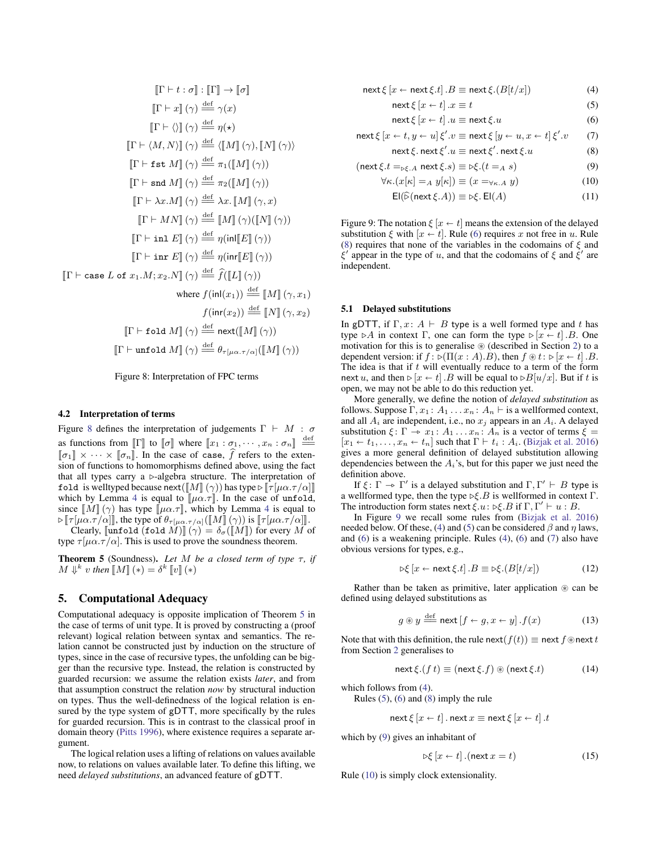<span id="page-5-1"></span>
$$
\llbracket \Gamma + t : \sigma \rrbracket : \llbracket \Gamma \rrbracket \rightarrow \llbracket \sigma \rrbracket
$$
\n
$$
\llbracket \Gamma + x \rrbracket (\gamma) \stackrel{\text{def}}{=} \gamma(x)
$$
\n
$$
\llbracket \Gamma + \langle \rangle \rrbracket (\gamma) \stackrel{\text{def}}{=} \eta(\star)
$$
\n
$$
\llbracket \Gamma + \langle M, N \rangle \rrbracket (\gamma) \stackrel{\text{def}}{=} \langle \llbracket M \rrbracket (\gamma), \llbracket N \rrbracket (\gamma) \rangle
$$
\n
$$
\llbracket \Gamma + \text{fst } M \rrbracket (\gamma) \stackrel{\text{def}}{=} \pi_1(\llbracket M \rrbracket (\gamma))
$$
\n
$$
\llbracket \Gamma + \text{snd } M \rrbracket (\gamma) \stackrel{\text{def}}{=} \pi_2(\llbracket M \rrbracket (\gamma))
$$
\n
$$
\llbracket \Gamma + \lambda x . M \rrbracket (\gamma) \stackrel{\text{def}}{=} \chi x . \llbracket M \rrbracket (\gamma, x)
$$
\n
$$
\llbracket \Gamma + MN \rrbracket (\gamma) \stackrel{\text{def}}{=} \llbracket M \rrbracket (\gamma) (\llbracket N \rrbracket (\gamma))
$$
\n
$$
\llbracket \Gamma + \text{in } E \rrbracket (\gamma) \stackrel{\text{def}}{=} \eta(\text{in} \llbracket E \rrbracket (\gamma))
$$
\n
$$
\llbracket \Gamma + \text{in } E \rrbracket (\gamma) \stackrel{\text{def}}{=} \hat{f}(\llbracket L \rrbracket (\gamma))
$$
\n
$$
\llbracket \Gamma + \text{case } L \text{ of } x_1 . M; x_2 . N \rrbracket (\gamma) \stackrel{\text{def}}{=} \hat{f}(\llbracket L \rrbracket (\gamma))
$$
\n
$$
\text{where } f(\text{inl}(x_1)) \stackrel{\text{def}}{=} \llbracket M \rrbracket (\gamma, x_1)
$$
\n
$$
f(\text{inr}(x_2)) \stackrel{\text{def}}{=} \llbracket N \rrbracket (\gamma, x_2)
$$
\n
$$
\llbracket \Gamma + \text{fold } M \rrbracket (\gamma) \stackrel{\text{def}}{=} \theta_{\tau[\mu \alpha . \tau / \alpha]} (\llbracket M \rrbracket (\gamma))
$$
\n

Figure 8: Interpretation of FPC terms

#### 4.2 Interpretation of terms

Figure [8](#page-5-1) defines the interpretation of judgements  $\Gamma \vdash M : \sigma$ as functions from  $\llbracket \Gamma \rrbracket$  to  $\llbracket \sigma \rrbracket$  where  $\llbracket x_1 : \sigma_1, \cdots, x_n : \sigma_n \rrbracket \stackrel{\text{def}}{=} \frac{\text{def}}{\llbracket \sigma \rrbracket}$  $\llbracket \sigma_1 \rrbracket \times \cdots \times \llbracket \sigma_n \rrbracket$ . In the case of case,  $\widehat{f}$  refers to the extension of functions to homomorphisms defined above, using the fact that all types carry a  $\triangleright$ -algebra structure. The interpretation of fold is welltyped because next( $\llbracket M \rrbracket(\gamma)$ ) has type  $\triangleright \llbracket \tau[\mu\alpha.\tau/\alpha]\rrbracket$ which by Lemma [4](#page-4-3) is equal to  $\llbracket \mu \alpha \cdot \tau \rrbracket$ . In the case of unfold, since  $\llbracket M \rrbracket(\gamma)$  has type  $\llbracket \mu \alpha. \tau \rrbracket$ , which by Lemma [4](#page-4-3) is equal to  $\Box$   $\Box$ [ $\tau[\mu\alpha.\tau/\alpha]$ ], the type of  $\theta_{\tau[\mu\alpha.\tau/\alpha]}(\llbracket M \rrbracket(\gamma))$  is  $\llbracket \tau[\mu\alpha.\tau/\alpha]$ ]. Clearly,  $\llbracket \text{unfold}( \text{fold } M) \rrbracket(\gamma) = \delta_{\sigma}(\llbracket M \rrbracket)$  for every M of

type  $\tau[\mu\alpha.\tau/\alpha]$ . This is used to prove the soundness theorem.

<span id="page-5-2"></span>**Theorem 5** (Soundness). Let M be a closed term of type  $\tau$ , if  $M \Downarrow^k v$  then  $\llbracket M \rrbracket (*) = \delta^k \llbracket v \rrbracket (*)$ 

# <span id="page-5-0"></span>5. Computational Adequacy

Computational adequacy is opposite implication of Theorem [5](#page-5-2) in the case of terms of unit type. It is proved by constructing a (proof relevant) logical relation between syntax and semantics. The relation cannot be constructed just by induction on the structure of types, since in the case of recursive types, the unfolding can be bigger than the recursive type. Instead, the relation is constructed by guarded recursion: we assume the relation exists *later*, and from that assumption construct the relation *now* by structural induction on types. Thus the well-definedness of the logical relation is ensured by the type system of gDTT, more specifically by the rules for guarded recursion. This is in contrast to the classical proof in domain theory [\(Pitts](#page-9-9) [1996\)](#page-9-9), where existence requires a separate argument.

The logical relation uses a lifting of relations on values available now, to relations on values available later. To define this lifting, we need *delayed substitutions*, an advanced feature of gDTT.

<span id="page-5-5"></span>
$$
\operatorname{next}\xi\left[x \leftarrow \operatorname{next}\xi.t\right].B \equiv \operatorname{next}\xi.(B[t/x])\tag{4}
$$

<span id="page-5-7"></span><span id="page-5-6"></span><span id="page-5-3"></span>
$$
\operatorname{next}\xi\left[x\leftarrow t\right].x \equiv t\tag{5}
$$

<span id="page-5-10"></span><span id="page-5-9"></span><span id="page-5-8"></span><span id="page-5-4"></span>
$$
\operatorname{next}\xi\left[x \leftarrow t\right].u \equiv \operatorname{next}\xi.u \tag{6}
$$

$$
\operatorname{next}\xi\left[x \leftarrow t, y \leftarrow u\right] \xi'.v \equiv \operatorname{next}\xi\left[y \leftarrow u, x \leftarrow t\right] \xi'.v \tag{7}
$$

$$
\operatorname{next}\xi.\operatorname{next}\xi'.u \equiv \operatorname{next}\xi'.\operatorname{next}\xi.u \qquad (8)
$$

$$
(\text{next}\,\xi.t =_{\triangleright\xi.A} \text{next}\,\xi.s) \equiv \triangleright\xi.(t =_A s) \tag{9}
$$

$$
\forall \kappa. (x[\kappa] =_A y[\kappa]) \equiv (x =_{\forall \kappa. A} y)
$$
(10)

$$
\mathsf{El}(\widehat{\triangleright}(\mathsf{next}\,\xi.A)) \equiv \triangleright \xi.\,\mathsf{El}(A) \tag{11}
$$

Figure 9: The notation  $\xi$  [ $x \leftarrow t$ ] means the extension of the delayed substitution  $\xi$  with  $[x \leftarrow t]$ . Rule [\(6\)](#page-5-3) requires x not free in u. Rule [\(8\)](#page-5-4) requires that none of the variables in the codomains of  $\xi$  and  $\xi'$  appear in the type of u, and that the codomains of  $\xi$  and  $\xi'$  are independent.

#### 5.1 Delayed substitutions

In gDTT, if  $\Gamma, x: A \vdash B$  type is a well formed type and t has type  $\triangleright$  A in context  $\Gamma$ , one can form the type  $\triangleright$   $[x \leftarrow t]$ . B. One motivation for this is to generalise  $\circledast$  (described in Section [2\)](#page-1-0) to a dependent version: if  $f : \triangleright(\Pi(x : A).B)$ , then  $f \circledast t : \triangleright [x \leftarrow t]$ .B. The idea is that if  $t$  will eventually reduce to a term of the form next u, and then  $\triangleright [x \leftarrow t]$ . B will be equal to  $\triangleright B[u/x]$ . But if t is open, we may not be able to do this reduction yet.

More generally, we define the notion of *delayed substitution* as follows. Suppose  $\Gamma, x_1 : A_1 \ldots x_n : A_n \vdash$  is a wellformed context, and all  $A_i$  are independent, i.e., no  $x_j$  appears in an  $A_i$ . A delayed substitution  $\xi \colon \Gamma \to x_1 : A_1 \dots x_n : A_n$  is a vector of terms  $\xi = [x_1 + t_2, x_2 + t_3]$  such that  $\Gamma \vdash t_1 \vdash A$ . (Biziak et al. 2016)  $[x_1 \leftarrow t_1, \ldots, x_n \leftarrow t_n]$  such that  $\Gamma \vdash t_i : A_i$ . [\(Bizjak et al.](#page-9-7) [2016\)](#page-9-7) gives a more general definition of delayed substitution allowing dependencies between the  $A_i$ 's, but for this paper we just need the definition above.

If  $\xi \colon \Gamma \to \Gamma'$  is a delayed substitution and  $\Gamma, \Gamma' \vdash B$  type is<br>cellformed type then the type  $\triangleright \xi$  B is wellformed in context  $\Gamma$ a wellformed type, then the type  $\triangleright \xi.B$  is wellformed in context Γ. The introduction form states next  $\xi.u : \triangleright \xi.B$  if  $\Gamma, \Gamma' \vdash u : B$ .

In Figure [9](#page-5-5) we recall some rules from [\(Bizjak et al.](#page-9-7) [2016\)](#page-9-7) needed below. Of these, [\(4\)](#page-5-6) and [\(5\)](#page-5-7) can be considered  $\beta$  and  $\eta$  laws, and [\(6\)](#page-5-3) is a weakening principle. Rules [\(4\)](#page-5-6), [\(6\)](#page-5-3) and [\(7\)](#page-5-8) also have obvious versions for types, e.g.,

<span id="page-5-11"></span>
$$
\triangleright \xi \left[ x \leftarrow \text{next} \, \xi.t \right] . B \equiv \triangleright \xi . (B[t/x]) \tag{12}
$$

Rather than be taken as primitive, later application  $\circledast$  can be defined using delayed substitutions as

<span id="page-5-12"></span>
$$
g \circledast y \stackrel{\text{def}}{=} \text{next}[f \leftarrow g, x \leftarrow y].f(x) \tag{13}
$$

Note that with this definition, the rule next $(f(t)) \equiv$  next  $f \circledast$  next  $t$ from Section [2](#page-1-0) generalises to

$$
\operatorname{next}\xi.(f\,t) \equiv (\operatorname{next}\xi.f) \circledast (\operatorname{next}\xi.t) \tag{14}
$$

which follows from [\(4\)](#page-5-6).

Rules [\(5\)](#page-5-7), [\(6\)](#page-5-3) and [\(8\)](#page-5-4) imply the rule

$$
\operatorname{next}\xi\left[x \leftarrow t\right].\operatorname{next} x \equiv \operatorname{next}\xi\left[x \leftarrow t\right].t
$$

which by [\(9\)](#page-5-9) gives an inhabitant of

<span id="page-5-13"></span>
$$
\triangleright \xi \left[ x \leftarrow t \right] . (\text{next } x = t) \tag{15}
$$

Rule [\(10\)](#page-5-10) is simply clock extensionality.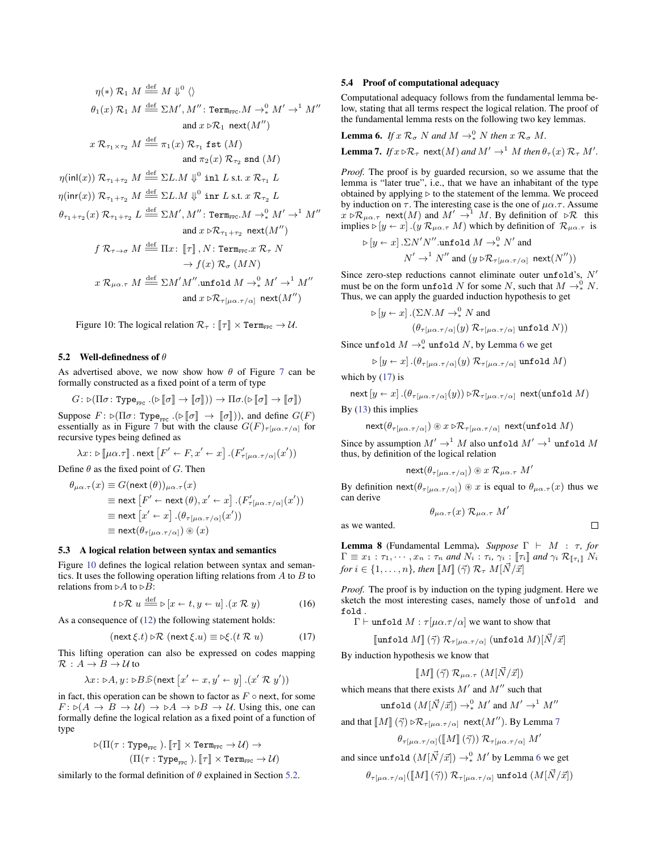<span id="page-6-1"></span>
$$
\eta(*)\mathcal{R}_1 M \stackrel{\text{def}}{=} M \Downarrow^0 \langle
$$
  
\n
$$
\theta_1(x)\mathcal{R}_1 M \stackrel{\text{def}}{=} \Sigma M', M'': \text{Term}_{\text{FPC}}. M \rightarrow^0_* M' \rightarrow^1 M''
$$
  
\nand  $x \triangleright \mathcal{R}_1 \text{ next}(M'')$   
\n $x \mathcal{R}_{\tau_1 \times \tau_2} M \stackrel{\text{def}}{=} \pi_1(x)\mathcal{R}_{\tau_1} \text{fst}(M)$   
\nand  $\pi_2(x)\mathcal{R}_{\tau_2} \text{snd}(M)$   
\n
$$
\eta(\text{inl}(x))\mathcal{R}_{\tau_1 + \tau_2} M \stackrel{\text{def}}{=} \Sigma L.M \Downarrow^0 \text{ in } L \text{ s.t. } x \mathcal{R}_{\tau_1} L
$$
  
\n
$$
\eta(\text{inr}(x))\mathcal{R}_{\tau_1 + \tau_2} M \stackrel{\text{def}}{=} \Sigma L.M \Downarrow^0 \text{ in } L \text{ s.t. } x \mathcal{R}_{\tau_2} L
$$
  
\n
$$
\theta_{\tau_1 + \tau_2}(x)\mathcal{R}_{\tau_1 + \tau_2} L \stackrel{\text{def}}{=} \Sigma M', M'': \text{Term}_{\text{FPC}}. M \rightarrow^0_* M' \rightarrow^1 M''
$$
  
\nand  $x \triangleright \mathcal{R}_{\tau_1 + \tau_2} \text{ next}(M'')$   
\n $f \mathcal{R}_{\tau \to \sigma} M \stackrel{\text{def}}{=} \Pi x: [\![\tau]\!], N: \text{Term}_{\text{FPC}}. x \mathcal{R}_{\tau} N$   
\n $\rightarrow f(x)\mathcal{R}_{\sigma}(MN)$   
\n $x \mathcal{R}_{\mu\alpha,\tau} M \stackrel{\text{def}}{=} \Sigma M'M'' \text{.unfold } M \rightarrow^0_* M' \rightarrow^1 M''$   
\nand  $x \triangleright \mathcal{R}_{\tau[\mu\alpha,\tau/\alpha]} \text{ next}(M'')$ 

Figure 10: The logical relation  $\mathcal{R}_{\tau} : [\![\tau]\!] \times \texttt{Term}_{\texttt{FPC}} \to \mathcal{U}.$ 

#### <span id="page-6-0"></span>5.2 Well-definedness of  $\theta$

As advertised above, we now show how  $\theta$  of Figure [7](#page-4-2) can be formally constructed as a fixed point of a term of type

$$
G: \triangleright (\Pi \sigma: \mathrm{Type}_{\mathrm{FPC}} . (\triangleright \llbracket \sigma \rrbracket \to \llbracket \sigma \rrbracket)) \to \Pi \sigma. (\triangleright \llbracket \sigma \rrbracket \to \llbracket \sigma \rrbracket)
$$

Suppose  $F: \triangleright (\Pi \sigma: \text{Type}_{\text{FPC}} \cdot (\triangleright \llbracket \sigma \rrbracket \rightarrow \llbracket \sigma \rrbracket)),$  and define  $G(F)$ essentially as in Figure [7](#page-4-2) but with the clause  $G(F)_{\tau[\mu\alpha.\tau/\alpha]}$  for recursive types being defined as

$$
\lambda x \colon \triangleright \llbracket \mu \alpha. \tau \rrbracket \text{ . next } \big[ F' \leftarrow F, x' \leftarrow x \big] \cdot (F'_{\tau[\mu \alpha. \tau/\alpha]}(x'))
$$

Define  $\theta$  as the fixed point of G. Then

$$
\theta_{\mu\alpha.\tau}(x) \equiv G(\text{next}(\theta))_{\mu\alpha.\tau}(x)
$$
  
\n
$$
\equiv \text{next} [F' \leftarrow \text{next}(\theta), x' \leftarrow x] \cdot (F'_{\tau[\mu\alpha.\tau/\alpha]}(x'))
$$
  
\n
$$
\equiv \text{next} [x' \leftarrow x] \cdot (\theta_{\tau[\mu\alpha.\tau/\alpha]}(x'))
$$
  
\n
$$
\equiv \text{next}(\theta_{\tau[\mu\alpha.\tau/\alpha]} \circledast (x))
$$

## 5.3 A logical relation between syntax and semantics

Figure [10](#page-6-1) defines the logical relation between syntax and semantics. It uses the following operation lifting relations from  $A$  to  $B$  to relations from  $\triangleright A$  to  $\triangleright B$ :

<span id="page-6-5"></span>
$$
t \triangleright \mathcal{R} \ u \stackrel{\text{def}}{=} \triangleright [x \leftarrow t, y \leftarrow u] \cdot (x \mathcal{R} \ y) \tag{16}
$$

As a consequence of [\(12\)](#page-5-11) the following statement holds:

<span id="page-6-3"></span>
$$
(\text{next} \xi.t) \triangleright \mathcal{R} \ (\text{next} \xi.u) \equiv \triangleright \xi.(t \mathcal{R} u) \tag{17}
$$

This lifting operation can also be expressed on codes mapping  $\mathcal{R}: A \rightarrow B \rightarrow \mathcal{U}$  to

$$
\lambda x \colon \triangleright A, y \colon \triangleright B. \widehat{\triangleright} \left( \text{next} \left[ x' \leftarrow x, y' \leftarrow y \right] . (x' \mathcal{R} y') \right) \right)
$$

in fact, this operation can be shown to factor as  $F \circ$  next, for some  $F: \nhd(A \rightarrow B \rightarrow \mathcal{U}) \rightarrow \nhd A \rightarrow \nhd B \rightarrow \mathcal{U}$ . Using this, one can formally define the logical relation as a fixed point of a function of type

$$
\triangleright(\Pi(\tau:\texttt{Type}_{\texttt{FPC}}). \llbracket \tau \rrbracket \times \texttt{Term}_{\texttt{FPC}} \to \mathcal{U}) \to \\ (\Pi(\tau:\texttt{Type}_{\texttt{FPC}}). \llbracket \tau \rrbracket \times \texttt{Term}_{\texttt{FPC}} \to \mathcal{U})
$$

similarly to the formal definition of  $\theta$  explained in Section [5.2.](#page-6-0)

## 5.4 Proof of computational adequacy

Computational adequacy follows from the fundamental lemma below, stating that all terms respect the logical relation. The proof of the fundamental lemma rests on the following two key lemmas.

<span id="page-6-2"></span>**Lemma 6.** *If*  $x \mathcal{R}_{\sigma} N$  *and*  $M \rightarrow_*^0 N$  *then*  $x \mathcal{R}_{\sigma} M$ *.* 

<span id="page-6-4"></span>**Lemma 7.** *If*  $x \triangleright \mathcal{R}_{\tau}$  next $(M)$  *and*  $M' \rightarrow$ <sup>1</sup>  $M$  *then*  $\theta_{\tau}(x)$   $\mathcal{R}_{\tau}$   $M'$ .

*Proof.* The proof is by guarded recursion, so we assume that the lemma is "later true", i.e., that we have an inhabitant of the type obtained by applying  $\triangleright$  to the statement of the lemma. We proceed by induction on  $\tau$ . The interesting case is the one of  $\mu\alpha.\tau$ . Assume  $x \triangleright \mathcal{R}_{\mu\alpha.\tau}$  next $(M)$  and  $M' \rightarrow^1 M$ . By definition of  $\triangleright \mathcal{R}$  this implies  $\triangleright$  [ $y \leftarrow x$ ]. ( $y \mathcal{R}_{\mu\alpha.\tau} M$ ) which by definition of  $\mathcal{R}_{\mu\alpha.\tau}$  is

$$
\triangleright [y \leftarrow x] . \Sigma N' N'' . \text{unfold } M \rightarrow_*^0 N' \text{ and}
$$
  

$$
N' \rightarrow^1 N'' \text{ and } (y \triangleright \mathcal{R}_{\tau[\mu\alpha, \tau/\alpha]} \text{ next}(N''))
$$

Since zero-step reductions cannot eliminate outer unfold's,  $N'$ must be on the form unfold N for some N, such that  $M \to_{*}^{0} N$ . Thus, we can apply the guarded induction hypothesis to get

$$
\triangleright [y \leftarrow x] . (\Sigma N. M \rightarrow_*^0 N \text{ and } (\theta_{\tau[\mu\alpha.\tau/\alpha]}(y) \mathcal{R}_{\tau[\mu\alpha.\tau/\alpha]} \text{unfold } N))
$$

Since unfold  $M \rightarrow_*^0$  unfold  $N$ , by Lemma [6](#page-6-2) we get

$$
\triangleright [y \leftarrow x] \cdot (\theta_{\tau[\mu\alpha.\tau/\alpha]}(y) \mathcal{R}_{\tau[\mu\alpha.\tau/\alpha]} \text{unfold } M)
$$

which by  $(17)$  is

$$
\text{next}[y \leftarrow x] \cdot (\theta_{\tau[\mu\alpha.\tau/\alpha]}(y)) \triangleright \mathcal{R}_{\tau[\mu\alpha.\tau/\alpha]} \text{ next}(\text{unfold } M)
$$

By [\(13\)](#page-5-12) this implies

$$
\operatorname{next}(\theta_{\tau[\mu\alpha.\tau/\alpha]}) \circledast x \triangleright \mathcal{R}_{\tau[\mu\alpha.\tau/\alpha]}
$$
 next(unfold *M*)

Since by assumption  $M' \to^1 M$  also unfold  $M' \to^1$  unfold  $M$ thus, by definition of the logical relation

$$
\operatorname{next}(\theta_{\tau[\mu\alpha.\tau/\alpha]}) \circledast x \mathcal{R}_{\mu\alpha.\tau} M'
$$

By definition next $(\theta_{\tau[\mu\alpha.\tau/\alpha]}) \otimes x$  is equal to  $\theta_{\mu\alpha.\tau}(x)$  thus we can derive  $θ_{μα.τ}(x)$   $\mathcal{R}_{μα.τ}$   $M'$ 

 $\Box$ 

as we wanted.

**Lemma 8** (Fundamental Lemma). *Suppose*  $\Gamma$   $\vdash$  *M* :  $\tau$ *, for*  $\Gamma \equiv x_1 : \tau_1, \cdots, x_n : \tau_n$  and  $N_i : \tau_i, \gamma_i : [\![\tau_i]\!]$  and  $\gamma_i \mathcal{R}_{\lVert \tau_i \rVert} N_i$ *for*  $i \in \{1, \ldots, n\}$ *, then*  $\llbracket M \rrbracket (\vec{\gamma}) \mathcal{R}_{\tau} M[\vec{N}/\vec{x}]$ 

*Proof.* The proof is by induction on the typing judgment. Here we sketch the most interesting cases, namely those of unfold and fold .

Γ  $\vdash$  unfold  $M : \tau[\mu\alpha.\tau/\alpha]$  we want to show that

$$
\llbracket \texttt{unfold }M \rrbracket(\vec{\gamma}) \ \mathcal{R}_{\tau[\mu\alpha.\tau/\alpha]} \ (\texttt{unfold }M)[\vec{N}/\vec{x}]
$$

By induction hypothesis we know that

 $\llbracket M \rrbracket (\vec{\gamma}) \mathcal{R}_{\mu\alpha.\tau} (M[\vec{N}/\vec{x}])$ 

which means that there exists  $M'$  and  $M''$  such that

unfold  $(M[\vec{N}/\vec{x}]) \rightarrow^0_* M'$  and  $M' \rightarrow^1 M''$ 

and that  $\llbracket M \rrbracket (\vec{\gamma}) \rhd \mathcal{R}_{\tau[\mu\alpha.\tau/\alpha]}$  next $(M'')$ . By Lemma [7](#page-6-4)

$$
\theta_{\tau[\mu\alpha.\tau/\alpha]}(\llbracket M\rrbracket\,(\vec{\gamma}))\,\mathcal{R}_{\tau[\mu\alpha.\tau/\alpha]}\,M'
$$

and since unfold  $(M[\vec{N}/\vec{x}]) \rightarrow_*^0 M'$  by Lemma [6](#page-6-2) we get

$$
\theta_{\tau[\mu\alpha.\tau/\alpha]}([\![M]\!](\vec{\gamma})) \, \mathcal{R}_{\tau[\mu\alpha.\tau/\alpha]} \, \text{unfold} \, (M[\vec{N}/\vec{x}])
$$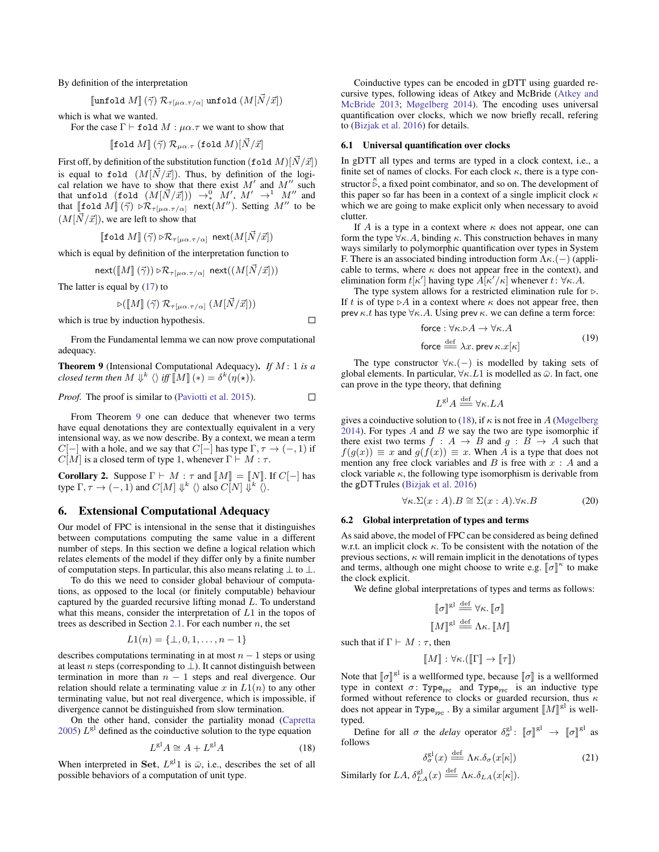By definition of the interpretation

$$
\llbracket \texttt{unfold}\ M \rrbracket \, (\vec{\gamma})\ \mathcal{R}_{\tau[\mu\alpha.\tau/\alpha]}\ \texttt{unfold}\ (M[\vec{N}/\vec{x}])
$$

which is what we wanted.

For the case  $\Gamma \vdash$  fold  $M : \mu \alpha. \tau$  we want to show that

$$
\llbracket \texttt{fold } M \rrbracket \, (\vec{\gamma}) \; \mathcal{R}_{\mu\alpha.\tau} \; (\texttt{fold } M) [\vec{N}/\vec{x}]
$$

First off, by definition of the substitution function (fold  $M$ )[ $N/\vec{x}$ ]) is equal to fold  $(M[\vec{N}/\vec{x}])$ . Thus, by definition of the logical relation we have to show that there exist  $M'$  and  $M''$  such that  $\texttt{unfold}~\left( \texttt{fold}~\left( M[\vec{N}/\vec{x}] \right) \right)~\rightarrow^0_*~M',~M'~\rightarrow^1~M''$  and that  $\llbracket \text{fold } M \rrbracket (\vec{\gamma}) \triangleright \mathcal{R}_{\tau[\mu\alpha.\tau/\alpha]}$  next $(M'')$ . Setting  $M''$  to be  $(M[\vec{N}/\vec{x}])$ , we are left to show that

$$
\llbracket \texttt{fold } M \rrbracket \, (\vec{\gamma}) \triangleright {\mathcal{R}}_{\tau \, [\mu \alpha . \tau / \alpha]} \, \, \texttt{next} (M [\vec{N}/\vec{x}])
$$

which is equal by definition of the interpretation function to

$$
\operatorname{next}(\llbracket M \rrbracket(\vec{\gamma})) \triangleright \mathcal{R}_{\tau[\mu\alpha.\tau/\alpha]} \operatorname{next}((M[\vec{N}/\vec{x}]))
$$

The latter is equal by [\(17\)](#page-6-3) to

$$
\triangleright (\llbracket M \rrbracket \, (\vec{\gamma}) \; {\cal R}_{\tau \left[ \mu \alpha . \tau / \alpha \right]} \; (M[\vec{N}/\vec{x}] ) )
$$

 $\Box$ 

which is true by induction hypothesis.

From the Fundamental lemma we can now prove computational adequacy.

<span id="page-7-1"></span>Theorem 9 (Intensional Computational Adequacy). *If* M : 1 *is a closed term then*  $M \Downarrow^{k} \langle \rangle$  *iff*  $\llbracket M \rrbracket (*) = \delta^{k}(\eta(\star)).$ 

*Proof.* The proof is similar to [\(Paviotti et al.](#page-9-8) [2015\)](#page-9-8).  $\Box$ 

From Theorem [9](#page-7-1) one can deduce that whenever two terms have equal denotations they are contextually equivalent in a very intensional way, as we now describe. By a context, we mean a term  $C[-]$  with a hole, and we say that  $C[-]$  has type  $\Gamma, \tau \to (-, 1)$  if  $C[M]$  is a closed term of type 1, whenever  $\Gamma \vdash M : \tau$ .

**Corollary 2.** Suppose  $\Gamma \vdash M : \tau$  and  $\llbracket M \rrbracket = \llbracket N \rrbracket$ . If  $C[-]$  has type  $\Gamma, \tau \to (-, 1)$  and  $C[M] \Downarrow^k \langle \rangle$  also  $C[N] \Downarrow^k \langle \rangle$ .

# <span id="page-7-0"></span>6. Extensional Computational Adequacy

Our model of FPC is intensional in the sense that it distinguishes between computations computing the same value in a different number of steps. In this section we define a logical relation which relates elements of the model if they differ only by a finite number of computation steps. In particular, this also means relating  $\perp$  to  $\perp$ .

To do this we need to consider global behaviour of computations, as opposed to the local (or finitely computable) behaviour captured by the guarded recursive lifting monad L. To understand what this means, consider the interpretation of  $L1$  in the topos of trees as described in Section [2.1.](#page-1-1) For each number  $n$ , the set

$$
L1(n) = \{\perp, 0, 1, \ldots, n-1\}
$$

describes computations terminating in at most  $n - 1$  steps or using at least n steps (corresponding to  $\perp$ ). It cannot distinguish between termination in more than  $n - 1$  steps and real divergence. Our relation should relate a terminating value x in  $L_1(n)$  to any other terminating value, but not real divergence, which is impossible, if divergence cannot be distinguished from slow termination.

On the other hand, consider the partiality monad [\(Capretta](#page-9-16) [2005\)](#page-9-16)  $L<sup>gl</sup>$  defined as the coinductive solution to the type equation

<span id="page-7-2"></span>
$$
L^{\mathrm{gl}}A \cong A + L^{\mathrm{gl}}A \tag{18}
$$

When interpreted in Set,  $L^{\text{gl}}1$  is  $\bar{\omega}$ , i.e., describes the set of all possible behaviors of a computation of unit type.

Coinductive types can be encoded in gDTT using guarded recursive types, following ideas of Atkey and McBride [\(Atkey and](#page-9-22) [McBride](#page-9-22) [2013;](#page-9-22) [Møgelberg](#page-9-23) [2014\)](#page-9-23). The encoding uses universal quantification over clocks, which we now briefly recall, refering to [\(Bizjak et al.](#page-9-7) [2016\)](#page-9-7) for details.

#### 6.1 Universal quantification over clocks

In gDTT all types and terms are typed in a clock context, i.e., a finite set of names of clocks. For each clock  $\kappa$ , there is a type constructor  $\stackrel{\kappa}{\triangleright}$ , a fixed point combinator, and so on. The development of this paper so far has been in a context of a single implicit clock  $\kappa$ which we are going to make explicit only when necessary to avoid clutter.

If A is a type in a context where  $\kappa$  does not appear, one can form the type  $\forall \kappa.A$ , binding  $\kappa$ . This construction behaves in many ways similarly to polymorphic quantification over types in System F. There is an associated binding introduction form  $\Lambda \kappa. (-)$  (applicable to terms, where  $\kappa$  does not appear free in the context), and elimination form  $t[\kappa']$  having type  $\hat{A}[\kappa'/\kappa]$  whenever  $t: \forall \kappa.A$ .

The type system allows for a restricted elimination rule for  $\triangleright$ . If t is of type  $\triangleright A$  in a context where  $\kappa$  does not appear free, then prev  $\kappa.t$  has type  $\forall \kappa.A.$  Using prev  $\kappa$ . we can define a term force:

<span id="page-7-3"></span>force: 
$$
\forall \kappa . \triangleright A \rightarrow \forall \kappa . A
$$
  
force  $\frac{\text{def}}{\text{}} \lambda x$ . prev  $\kappa . x[\kappa]$  (19)

The type constructor  $\forall \kappa. (-)$  is modelled by taking sets of global elements. In particular,  $\forall \kappa$ . L1 is modelled as  $\bar{\omega}$ . In fact, one can prove in the type theory, that defining

$$
L^{\mathrm{gl}}A \stackrel{\mathrm{def}}{=\!\!=} \forall \kappa. LA
$$

gives a coinductive solution to [\(18\)](#page-7-2), if  $\kappa$  is not free in A [\(Møgelberg](#page-9-23) [2014\)](#page-9-23). For types  $A$  and  $B$  we say the two are type isomorphic if there exist two terms  $f : A \rightarrow B$  and  $g : B \rightarrow A$  such that  $f(g(x)) \equiv x$  and  $g(f(x)) \equiv x$ . When A is a type that does not mention any free clock variables and  $B$  is free with  $x : A$  and a clock variable  $\kappa$ , the following type isomorphism is derivable from the gDTTrules [\(Bizjak et al.](#page-9-7) [2016\)](#page-9-7)

<span id="page-7-4"></span>
$$
\forall \kappa. \Sigma(x:A).B \cong \Sigma(x:A). \forall \kappa. B \tag{20}
$$

#### 6.2 Global interpretation of types and terms

As said above, the model of FPC can be considered as being defined w.r.t. an implicit clock  $\kappa$ . To be consistent with the notation of the previous sections,  $\kappa$  will remain implicit in the denotations of types and terms, although one might choose to write e.g.  $[\![\sigma]\!]^{\kappa}$  to make the clock explicit.

We define global interpretations of types and terms as follows:

$$
\begin{aligned}\n\llbracket \sigma \rrbracket^{\text{gl}} &\stackrel{\text{def}}{=\!\!=} \forall \kappa. \llbracket \sigma \rrbracket \\
\llbracket M \rrbracket^{\text{gl}} &\stackrel{\text{def}}{=\!\!=} \Lambda \kappa. \llbracket M \rrbracket\n\end{aligned}
$$

such that if  $\Gamma \vdash M : \tau$ , then

$$
\llbracket M \rrbracket : \forall \kappa . (\llbracket \Gamma \rrbracket \to \llbracket \tau \rrbracket)
$$

Note that  $[\![\sigma]\!]^{\mathbb{S}^1}$  is a wellformed type, because  $[\![\sigma]\!]$  is a wellformed type in context  $\sigma$ : Type and Type is an inductive type type in context  $\sigma$ : Type<sub>FPC</sub> and Type<sub>FPC</sub> is an inductive type formed without reference to clocks or guarded recursion, thus  $\kappa$ does not appear in Type<sub>FPC</sub>. By a similar argument  $\llbracket M \rrbracket^{\text{gl}}$  is welltyped.

Define for all  $\sigma$  the *delay* operator  $\delta_{\sigma}^{\text{gl}}$ :  $[\![\sigma]\!]^{\text{gl}} \to [\![\sigma]\!]^{\text{gl}}$  as follows

$$
\delta_{\sigma}^{\mathrm{gl}}(x) \stackrel{\text{def}}{=\!\!=} \Lambda \kappa \delta_{\sigma}(x[\kappa]) \tag{21}
$$

Similarly for  $LA$ ,  $\delta_{LA}^{\text{gl}}(x) \stackrel{\text{def}}{=\!\!=} \Lambda \kappa \cdot \delta_{LA}(x[\kappa]).$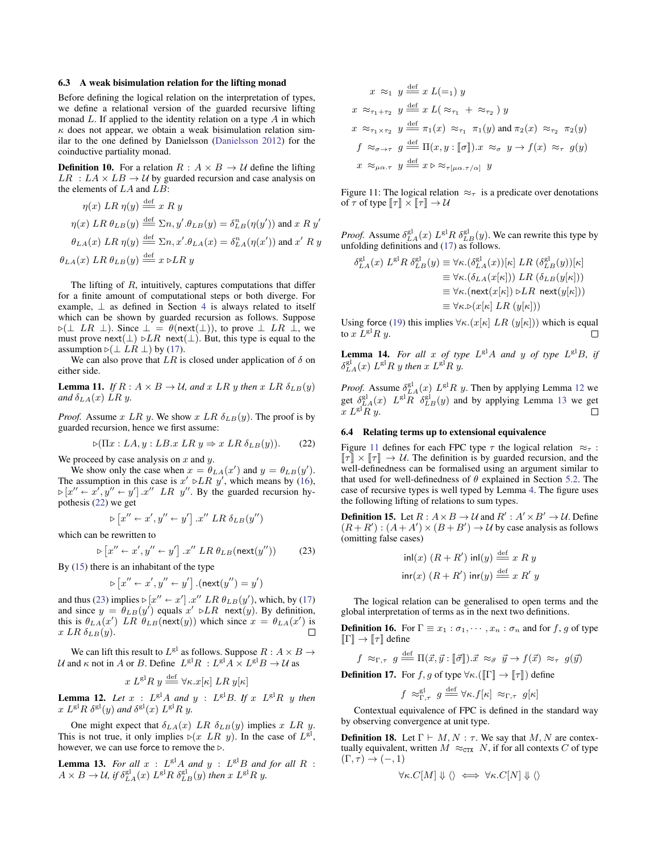#### 6.3 A weak bisimulation relation for the lifting monad

Before defining the logical relation on the interpretation of types, we define a relational version of the guarded recursive lifting monad  $L$ . If applied to the identity relation on a type  $A$  in which  $\kappa$  does not appear, we obtain a weak bisimulation relation similar to the one defined by Danielsson [\(Danielsson](#page-9-15) [2012\)](#page-9-15) for the coinductive partiality monad.

<span id="page-8-0"></span>**Definition 10.** For a relation  $R : A \times B \rightarrow U$  define the lifting  $LR : LA \times LB \rightarrow U$  by guarded recursion and case analysis on the elements of  $LA$  and  $LB$ :

$$
\eta(x) \, LR \, \eta(y) \stackrel{\text{def}}{=} x \, R \, y
$$
\n
$$
\eta(x) \, LR \, \theta_{LB}(y) \stackrel{\text{def}}{=} \Sigma n, y'.\theta_{LB}(y) = \delta_{LB}^n(\eta(y')) \text{ and } x \, R \, y'
$$
\n
$$
\theta_{LA}(x) \, LR \, \eta(y) \stackrel{\text{def}}{=} \Sigma n, x'.\theta_{LA}(x) = \delta_{LA}^n(\eta(x')) \text{ and } x' \, R \, y
$$
\n
$$
\theta_{LA}(x) \, LR \, \theta_{LB}(y) \stackrel{\text{def}}{=} x \, \triangleright LR \, y
$$

The lifting of  $R$ , intuitively, captures computations that differ for a finite amount of computational steps or both diverge. For example,  $\perp$  as defined in Section [4](#page-3-0) is always related to itself which can be shown by guarded recursion as follows. Suppose  $\triangleright$ ( $\perp$  LR  $\perp$ ). Since  $\perp = \theta$ (next( $\perp$ )), to prove  $\perp$  LR  $\perp$ , we must prove next( $\perp$ )  $\triangleright LR$  next( $\perp$ ). But, this type is equal to the assumption  $\triangleright$  ( $\perp$  LR  $\perp$ ) by [\(17\)](#page-6-3).

We can also prove that  $LR$  is closed under application of  $\delta$  on either side.

**Lemma 11.** If 
$$
R : A \times B \rightarrow U
$$
, and  $x \, LR \, y$  then  $x \, LR \, \delta_{LB}(y)$   
and  $\delta_{LA}(x) \, LR \, y$ .

*Proof.* Assume x LR y. We show x LR  $\delta_{LB}(y)$ . The proof is by guarded recursion, hence we first assume:

<span id="page-8-1"></span>
$$
\triangleright (\Pi x : LA, y : LB.x LR y \Rightarrow x LR \delta_{LB}(y)). \tag{22}
$$

We proceed by case analysis on  $x$  and  $y$ .

We show only the case when  $x = \theta_{LA}(x')$  and  $y = \theta_{LB}(y')$ . The assumption in this case is  $x' \in LR$  y', which means by [\(16\)](#page-6-5),  $\triangleright [x'' \leftarrow x', y'' \leftarrow y']$ . *x''* LR y''. By the guarded recursion hy-<br>nothesis (22) we get pothesis [\(22\)](#page-8-1) we get

$$
\triangleright [x'' \leftarrow x', y'' \leftarrow y'] .x'' LR \delta_{LB}(y'')
$$

which can be rewritten to

 $\triangleright$ 

<span id="page-8-2"></span>
$$
\triangleright [x'' \leftarrow x', y'' \leftarrow y'] \cdot x'' \cdot LR \theta_{LB}(\text{next}(y'')) \tag{23}
$$

By  $(15)$  there is an inhabitant of the type

$$
\left[x''\leftarrow x',y''\leftarrow y'\right].(\mathsf{next}(y'')=y')
$$

and thus [\(23\)](#page-8-2) implies  $\triangleright [x'' \leftarrow x']$ .  $x''$  LR  $\theta_{LB}(y')$ , which, by [\(17\)](#page-6-3)<br>and since  $y = \theta_{LB}(y')$  equals  $x' \searrow LR$  next(y). By definition and since  $y = \theta_{LB}(y')$  equals  $x' \in LR$  next $(y)$ . By definition, this is  $\theta_{LA}(x')$  LR  $\theta_{LB}(\text{next}(y))$  which since  $x = \theta_{LA}(x')$  is  $x$  LR  $\delta_{LB}(y)$ .  $\Box$ 

We can lift this result to  $L^{\text{gl}}$  as follows. Suppose  $R : A \times B \rightarrow$ U and  $\kappa$  not in A or B. Define  $L^{\text{gl}}R : L^{\text{gl}}A \times L^{\text{gl}}B \to U$  as

$$
x L^{\text{gl}} R y \stackrel{\text{def}}{=} \forall \kappa . x[\kappa] LR y[\kappa]
$$

<span id="page-8-3"></span>**Lemma 12.** Let  $x : L^{gl}A$  and  $y : L^{gl}B$ . If  $x L^{gl}R$   $y$  then  $x L^{\text{gl}} R \delta^{\text{gl}}(y)$  and  $\delta^{\text{gl}}(x) L^{\text{gl}} R y$ .

One might expect that  $\delta_{LA}(x)$  LR  $\delta_{LB}(y)$  implies x LR y. This is not true, it only implies  $\triangleright (x \, LR \, y)$ . In the case of  $L^{gl}$ , however, we can use force to remove the  $\triangleright$ .

<span id="page-8-4"></span>**Lemma 13.** For all 
$$
x : L^{gl}A
$$
 and  $y : L^{gl}B$  and for all  $R : A \times B \to U$ , if  $\delta_{LA}^{gl}(x) L^{gl}R \delta_{LB}^{gl}(y)$  then  $x L^{gl}R y$ .

<span id="page-8-5"></span>
$$
x \approx_1 y \stackrel{\text{def}}{=} x L(-1) y
$$
  
\n
$$
x \approx_{\tau_1 + \tau_2} y \stackrel{\text{def}}{=} x L(\approx_{\tau_1} + \approx_{\tau_2}) y
$$
  
\n
$$
x \approx_{\tau_1 \times \tau_2} y \stackrel{\text{def}}{=} \pi_1(x) \approx_{\tau_1} \pi_1(y) \text{ and } \pi_2(x) \approx_{\tau_2} \pi_2(y)
$$
  
\n
$$
f \approx_{\sigma \to \tau} g \stackrel{\text{def}}{=} \Pi(x, y : [\![\sigma]\!]). \quad x \approx_{\sigma} y \to f(x) \approx_{\tau} g(y)
$$
  
\n
$$
x \approx_{\mu\alpha, \tau} y \stackrel{\text{def}}{=} x \rhd \approx_{\tau[\mu\alpha, \tau/\alpha]} y
$$

Figure 11: The logical relation  $\approx_\tau$  is a predicate over denotations of  $\tau$  of type  $[\![\tau]\!] \times [\![\tau]\!] \rightarrow \mathcal{U}$ 

*Proof.* Assume  $\delta_{LA}^{\text{gl}}(x)$   $L^{\text{gl}}R \delta_{LB}^{\text{gl}}(y)$ . We can rewrite this type by unfolding definitions and [\(17\)](#page-6-3) as follows.

$$
\delta_{LA}^{\mathrm{gl}}(x) \ L^{\mathrm{gl}}R \ \delta_{LB}^{\mathrm{gl}}(y) \equiv \forall \kappa. (\delta_{LA}^{\mathrm{gl}}(x))[ \kappa] \ LR \ (\delta_{LB}^{\mathrm{gl}}(y)[ \kappa] \newline \equiv \forall \kappa. (\delta_{LA}(x[\kappa])) \ LL \ (\delta_{LB}(y[\kappa])) \newline \equiv \forall \kappa. (\mathrm{next}(x[\kappa]) \triangleright LR \ \mathrm{next}(y[\kappa])) \newline \equiv \forall \kappa. \triangleright (x[\kappa] \ LR \ (y[\kappa])) \newline \equiv \forall \kappa. \triangleright (x[\kappa] \ LL \ (y[\kappa]))
$$

Using force [\(19\)](#page-7-3) this implies  $\forall \kappa. (x[\kappa] LR (y[\kappa]))$  which is equal to x  $L^{\mathrm{gl}} R y$ . П

<span id="page-8-6"></span>**Lemma 14.** For all x of type  $L^{gl}A$  and y of type  $L^{gl}B$ , if  $\delta_{LA}^{\text{gl}}(x) L^{\text{gl}}R y$  then  $x L^{\text{gl}}R y$ .

*Proof.* Assume  $\delta_{LA}^{\text{gl}}(x)$   $L^{\text{gl}}R$  y. Then by applying Lemma [12](#page-8-3) we get  $\delta_{LA}^{\text{gl}}(x)$   $L^{\text{gl}}R$   $\delta_{LB}^{\text{gl}}(y)$  and by applying Lemma [13](#page-8-4) we get  $x L^{\text{gl}} R y$ .

## 6.4 Relating terms up to extensional equivalence

Figure [11](#page-8-5) defines for each FPC type  $\tau$  the logical relation  $\approx_{\tau}$ :  $\llbracket \tau \rrbracket \times \llbracket \tau \rrbracket \to U$ . The definition is by guarded recursion, and the well-definedness can be formalised using an argument similar to that used for well-definedness of  $\theta$  explained in Section [5.2.](#page-6-0) The case of recursive types is well typed by Lemma [4.](#page-4-3) The figure uses the following lifting of relations to sum types.

**Definition 15.** Let  $R : A \times B \to U$  and  $R' : A' \times B' \to U$ . Define  $(R+R'): (A+A') \times (B+B') \rightarrow \mathcal{U}$  by case analysis as follows (omitting false cases)

$$
\frac{\text{inl}(x) (R + R') \text{inl}(y) \stackrel{\text{def}}{=} x R y}{\text{inr}(x) (R + R') \text{inr}(y) \stackrel{\text{def}}{=} x R' y}
$$

The logical relation can be generalised to open terms and the global interpretation of terms as in the next two definitions.

**Definition 16.** For  $\Gamma \equiv x_1 : \sigma_1, \cdots, x_n : \sigma_n$  and for f, g of type  $\llbracket \Gamma \rrbracket \to \llbracket \tau \rrbracket$  define

$$
f \approx_{\Gamma, \tau} g \stackrel{\text{def}}{=} \Pi(\vec{x}, \vec{y} : [\vec{\sigma}]) \cdot \vec{x} \approx_{\vec{\sigma}} \vec{y} \to f(\vec{x}) \approx_{\tau} g(\vec{y})
$$

**Definition 17.** For f, g of type  $\forall \kappa$ .( $\llbracket \Gamma \rrbracket \rightarrow \llbracket \tau \rrbracket$ ) define

$$
f \approx_{\Gamma,\tau}^{\text{gl}} g \stackrel{\text{def}}{=\!\!=} \forall \kappa.f[\kappa] \approx_{\Gamma,\tau} g[\kappa]
$$

Contextual equivalence of FPC is defined in the standard way by observing convergence at unit type.

**Definition 18.** Let  $\Gamma \vdash M, N : \tau$ . We say that M, N are contextually equivalent, written  $M \approx_{\text{CTX}} N$ , if for all contexts C of type  $(\Gamma, \tau) \rightarrow (-, 1)$ 

$$
\forall \kappa. C[M] \Downarrow \langle \rangle \iff \forall \kappa. C[N] \Downarrow \langle \rangle
$$